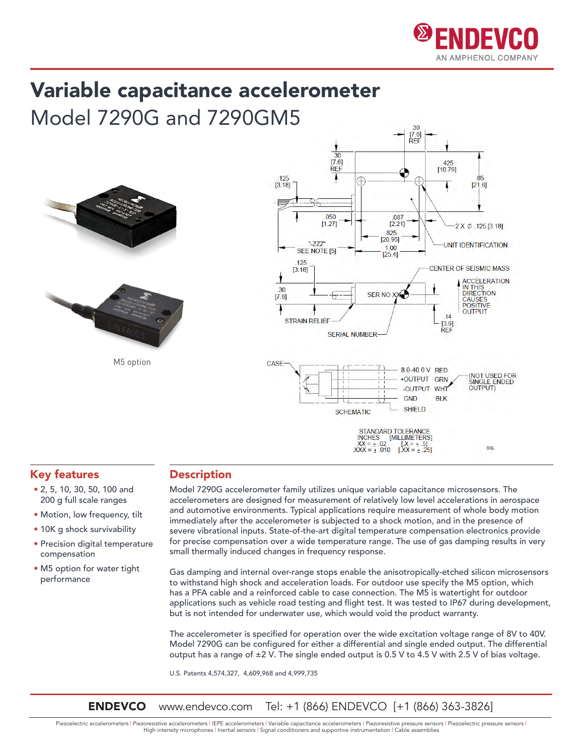

# Variable capacitance accelerometer

Model 7290G and 7290GM5



M5 option



### Key features

- 2, 5, 10, 30, 50, 100 and 200 g full scale ranges
- Motion, low frequency, tilt
- 10K g shock survivability
- Precision digital temperature compensation
- M5 option for water tight performance

### **Description**

Model 7290G accelerometer family utilizes unique variable capacitance microsensors. The accelerometers are designed for measurement of relatively low level accelerations in aerospace and automotive environments. Typical applications require measurement of whole body motion immediately after the accelerometer is subjected to a shock motion, and in the presence of severe vibrational inputs. State-of-the-art digital temperature compensation electronics provide for precise compensation over a wide temperature range. The use of gas damping results in very small thermally induced changes in frequency response.

Gas damping and internal over-range stops enable the anisotropically-etched silicon microsensors to withstand high shock and acceleration loads. For outdoor use specify the M5 option, which has a PFA cable and a reinforced cable to case connection. The M5 is watertight for outdoor applications such as vehicle road testing and flight test. It was tested to IP67 during development, but is not intended for underwater use, which would void the product warranty.

The accelerometer is specified for operation over the wide excitation voltage range of 8V to 40V. Model 7290G can be configured for either a differential and single ended output. The differential output has a range of ±2 V. The single ended output is 0.5 V to 4.5 V with 2.5 V of bias voltage.

U.S. Patents 4,574,327, 4,609,968 and 4,999,735

**ENDEVCO** www.endevco.com Tel: +1 (866) ENDEVCO [+1 (866) 363-3826]

Piezoelectric accelerometers | Piezoresistive accelerometers | IEPE accelerometers | Variable capacitance accelerometers | Piezoresistive pressure sensors | Piezoelectric pressure sensors | High intensity microphones | Inertial sensors | Signal conditioners and supportive instrumentation | Cable assemblies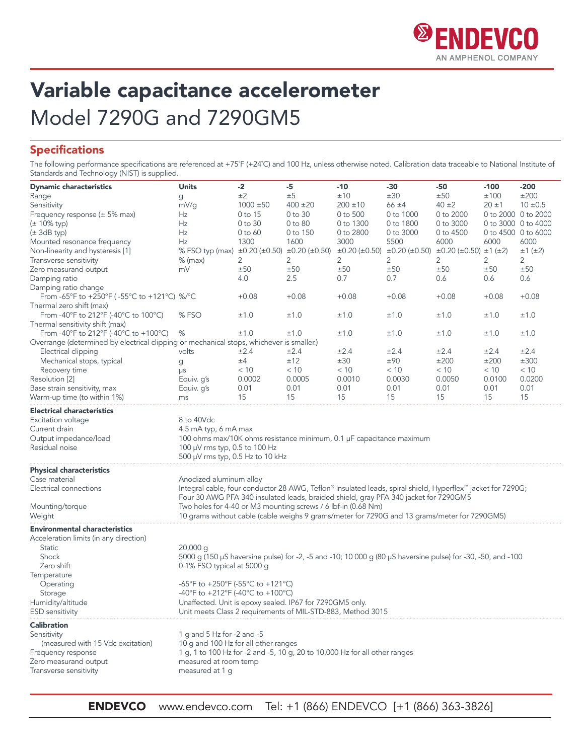

### Variable capacitance accelerometer Model 7290G and 7290GM5

### Specifications

The following performance specifications are referenced at +75°F (+24°C) and 100 Hz, unless otherwise noted. Calibration data traceable to National Institute of Standards and Technology (NIST) is supplied.

| <b>Dynamic characteristics</b>                                                                                                                                                  | <b>Units</b>                                                                                                                                                               | $-2$          | $-5$         | -10          | -30                                                                                               | -50        | $-100$              | -200          |
|---------------------------------------------------------------------------------------------------------------------------------------------------------------------------------|----------------------------------------------------------------------------------------------------------------------------------------------------------------------------|---------------|--------------|--------------|---------------------------------------------------------------------------------------------------|------------|---------------------|---------------|
| Range                                                                                                                                                                           | g                                                                                                                                                                          | ±2            | ±5           | ±10          | ±30                                                                                               | ±50        | ±100                | ±200          |
| Sensitivity                                                                                                                                                                     | mV/g                                                                                                                                                                       | $1000 \pm 50$ | $400 \pm 20$ | $200 \pm 10$ | $66 \pm 4$                                                                                        | $40 \pm 2$ | $20 \pm 1$          | $10 \pm 0.5$  |
| Frequency response (± 5% max)                                                                                                                                                   | Hz                                                                                                                                                                         | 0 to 15       | 0 to 30      | 0 to 500     | 0 to 1000                                                                                         | 0 to 2000  | 0 to 2000 0 to 2000 |               |
| $(± 10\%$ typ)                                                                                                                                                                  | Hz                                                                                                                                                                         | 0 to 30       | 0 to 80      | 0 to 1300    | 0 to 1800                                                                                         | 0 to 3000  | 0 to 3000 0 to 4000 |               |
| $(\pm 3dB$ typ)                                                                                                                                                                 | Hz                                                                                                                                                                         | $0$ to $60$   | 0 to 150     | 0 to 2800    | 0 to 3000                                                                                         | 0 to 4500  | 0 to 4500 0 to 6000 |               |
| Mounted resonance frequency                                                                                                                                                     | Hz                                                                                                                                                                         | 1300          | 1600         | 3000         | 5500                                                                                              | 6000       | 6000                | 6000          |
| Non-linearity and hysteresis [1]                                                                                                                                                | % FSO typ (max) ±0.20 (±0.50) ±0.20 (±0.50)                                                                                                                                |               |              |              | $\pm 0.20$ ( $\pm 0.50$ ) $\pm 0.20$ ( $\pm 0.50$ ) $\pm 0.20$ ( $\pm 0.50$ ) $\pm 1$ ( $\pm 2$ ) |            |                     | $±1$ ( $±2$ ) |
| Transverse sensitivity                                                                                                                                                          | $%$ (max)                                                                                                                                                                  | 2             | 2            | 2            | 2                                                                                                 | 2          | 2                   | 2             |
| Zero measurand output                                                                                                                                                           | mV                                                                                                                                                                         | ±50           | ±50          | ±50          | ±50                                                                                               | ±50        | ±50                 | ±50           |
| Damping ratio                                                                                                                                                                   |                                                                                                                                                                            | 4.0           | $2.5\,$      | 0.7          | 0.7                                                                                               | 0.6        | 0.6                 | 0.6           |
| Damping ratio change<br>From -65°F to +250°F (-55°C to +121°C) %/°C                                                                                                             |                                                                                                                                                                            | $+0.08$       | $+0.08$      | $+0.08$      | $+0.08$                                                                                           | $+0.08$    | $+0.08$             | $+0.08$       |
| Thermal zero shift (max)                                                                                                                                                        |                                                                                                                                                                            |               |              |              |                                                                                                   |            |                     |               |
| From -40°F to 212°F (-40°C to 100°C)                                                                                                                                            | %FSO                                                                                                                                                                       | ±1.0          | ±1.0         | ±1.0         | ±1.0                                                                                              | ±1.0       | ±1.0                | ±1.0          |
| Thermal sensitivity shift (max)                                                                                                                                                 |                                                                                                                                                                            |               |              |              |                                                                                                   |            |                     |               |
| From -40°F to 212°F (-40°C to +100°C)                                                                                                                                           | %                                                                                                                                                                          | ±1.0          | ±1.0         | ±1.0         | ±1.0                                                                                              | ±1.0       | ±1.0                | ±1.0          |
| Overrange (determined by electrical clipping or mechanical stops, whichever is smaller.)                                                                                        |                                                                                                                                                                            |               |              |              |                                                                                                   |            |                     |               |
| Electrical clipping                                                                                                                                                             | volts                                                                                                                                                                      | $\pm 2.4$     | ±2.4         | ±2.4         | ±2.4                                                                                              | ±2.4       | ±2.4                | ±2.4          |
| Mechanical stops, typical                                                                                                                                                       |                                                                                                                                                                            | ±4            | ±12          | ±30          | ±90                                                                                               | ±200       | ±200                | ±300          |
| Recovery time                                                                                                                                                                   | g                                                                                                                                                                          | < 10          | < 10         | < 10         | < 10                                                                                              | < 10       | < 10                | < 10          |
| Resolution [2]                                                                                                                                                                  | μs                                                                                                                                                                         | 0.0002        | 0.0005       | 0.0010       | 0.0030                                                                                            | 0.0050     | 0.0100              | 0.0200        |
| Base strain sensitivity, max                                                                                                                                                    | Equiv. g's<br>Equiv. g's                                                                                                                                                   | 0.01          | 0.01         | 0.01         | 0.01                                                                                              | 0.01       | 0.01                | 0.01          |
| Warm-up time (to within 1%)                                                                                                                                                     |                                                                                                                                                                            | 15            | 15           | 15           | 15                                                                                                | 15         | 15                  | 15            |
|                                                                                                                                                                                 | ms                                                                                                                                                                         |               |              |              |                                                                                                   |            |                     |               |
| <b>Electrical characteristics</b>                                                                                                                                               |                                                                                                                                                                            |               |              |              |                                                                                                   |            |                     |               |
| Excitation voltage                                                                                                                                                              | 8 to 40Vdc                                                                                                                                                                 |               |              |              |                                                                                                   |            |                     |               |
| Current drain                                                                                                                                                                   | 4.5 mA typ, 6 mA max                                                                                                                                                       |               |              |              |                                                                                                   |            |                     |               |
| Output impedance/load                                                                                                                                                           | 100 ohms max/10K ohms resistance minimum, 0.1 µF capacitance maximum                                                                                                       |               |              |              |                                                                                                   |            |                     |               |
| Residual noise                                                                                                                                                                  | 100 µV rms typ, 0.5 to 100 Hz                                                                                                                                              |               |              |              |                                                                                                   |            |                     |               |
|                                                                                                                                                                                 | 500 µV rms typ, 0.5 Hz to 10 kHz                                                                                                                                           |               |              |              |                                                                                                   |            |                     |               |
| <b>Physical characteristics</b>                                                                                                                                                 |                                                                                                                                                                            |               |              |              |                                                                                                   |            |                     |               |
| Case material                                                                                                                                                                   | Anodized aluminum alloy                                                                                                                                                    |               |              |              |                                                                                                   |            |                     |               |
| Electrical connections                                                                                                                                                          | Integral cable, four conductor 28 AWG, Teflon® insulated leads, spiral shield, Hyperflex™ jacket for 7290G;                                                                |               |              |              |                                                                                                   |            |                     |               |
|                                                                                                                                                                                 | Four 30 AWG PFA 340 insulated leads, braided shield, gray PFA 340 jacket for 7290GM5                                                                                       |               |              |              |                                                                                                   |            |                     |               |
| Mounting/torque                                                                                                                                                                 | Two holes for 4-40 or M3 mounting screws / 6 lbf-in (0.68 Nm)                                                                                                              |               |              |              |                                                                                                   |            |                     |               |
| Weight                                                                                                                                                                          | 10 grams without cable (cable weighs 9 grams/meter for 7290G and 13 grams/meter for 7290GM5)                                                                               |               |              |              |                                                                                                   |            |                     |               |
| <b>Environmental characteristics</b>                                                                                                                                            |                                                                                                                                                                            |               |              |              |                                                                                                   |            |                     |               |
| Acceleration limits (in any direction)                                                                                                                                          |                                                                                                                                                                            |               |              |              |                                                                                                   |            |                     |               |
| Static                                                                                                                                                                          | $20,000$ q                                                                                                                                                                 |               |              |              |                                                                                                   |            |                     |               |
| Shock                                                                                                                                                                           | 5000 g (150 μS haversine pulse) for -2, -5 and -10; 10 000 g (80 μS haversine pulse) for -30, -50, and -100                                                                |               |              |              |                                                                                                   |            |                     |               |
| Zero shift                                                                                                                                                                      | 0.1% FSO typical at 5000 g                                                                                                                                                 |               |              |              |                                                                                                   |            |                     |               |
| Temperature                                                                                                                                                                     |                                                                                                                                                                            |               |              |              |                                                                                                   |            |                     |               |
| Operating                                                                                                                                                                       | -65°F to +250°F (-55°C to +121°C)                                                                                                                                          |               |              |              |                                                                                                   |            |                     |               |
|                                                                                                                                                                                 | -40°F to +212°F (-40°C to +100°C)                                                                                                                                          |               |              |              |                                                                                                   |            |                     |               |
|                                                                                                                                                                                 |                                                                                                                                                                            |               |              |              |                                                                                                   |            |                     |               |
| <b>ESD</b> sensitivity                                                                                                                                                          | Unit meets Class 2 requirements of MIL-STD-883, Method 3015                                                                                                                |               |              |              |                                                                                                   |            |                     |               |
|                                                                                                                                                                                 |                                                                                                                                                                            |               |              |              |                                                                                                   |            |                     |               |
|                                                                                                                                                                                 |                                                                                                                                                                            |               |              |              |                                                                                                   |            |                     |               |
|                                                                                                                                                                                 |                                                                                                                                                                            |               |              |              |                                                                                                   |            |                     |               |
|                                                                                                                                                                                 |                                                                                                                                                                            |               |              |              |                                                                                                   |            |                     |               |
|                                                                                                                                                                                 | 1 g, 1 to 100 Hz for -2 and -5, 10 g, 20 to 10,000 Hz for all other ranges                                                                                                 |               |              |              |                                                                                                   |            |                     |               |
|                                                                                                                                                                                 |                                                                                                                                                                            |               |              |              |                                                                                                   |            |                     |               |
|                                                                                                                                                                                 |                                                                                                                                                                            |               |              |              |                                                                                                   |            |                     |               |
| Storage<br>Humidity/altitude<br><b>Calibration</b><br>Sensitivity<br>(measured with 15 Vdc excitation)<br>Frequency response<br>Zero measurand output<br>Transverse sensitivity | Unaffected. Unit is epoxy sealed. IP67 for 7290GM5 only.<br>1 g and 5 Hz for -2 and -5<br>10 g and 100 Hz for all other ranges<br>measured at room temp<br>measured at 1 g |               |              |              |                                                                                                   |            |                     |               |

ENDEVCO www.endevco.com Tel: +1 (866) ENDEVCO [+1 (866) 363-3826]